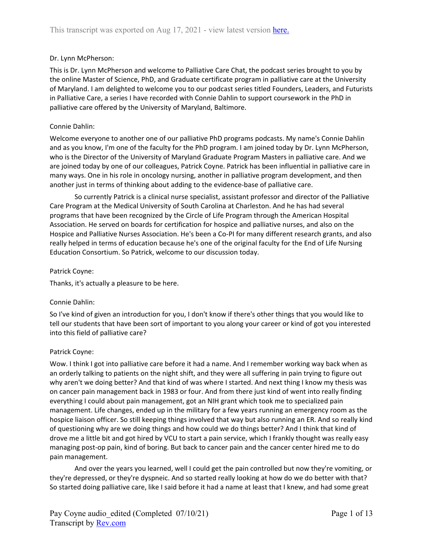## Dr. Lynn McPherson:

This is Dr. Lynn McPherson and welcome to Palliative Care Chat, the podcast series brought to you by the online Master of Science, PhD, and Graduate certificate program in palliative care at the University of Maryland. I am delighted to welcome you to our podcast series titled Founders, Leaders, and Futurists in Palliative Care, a series I have recorded with Connie Dahlin to support coursework in the PhD in palliative care offered by the University of Maryland, Baltimore.

#### Connie Dahlin:

Welcome everyone to another one of our palliative PhD programs podcasts. My name's Connie Dahlin and as you know, I'm one of the faculty for the PhD program. I am joined today by Dr. Lynn McPherson, who is the Director of the University of Maryland Graduate Program Masters in palliative care. And we are joined today by one of our colleagues, Patrick Coyne. Patrick has been influential in palliative care in many ways. One in his role in oncology nursing, another in palliative program development, and then another just in terms of thinking about adding to the evidence-base of palliative care.

So currently Patrick is a clinical nurse specialist, assistant professor and director of the Palliative Care Program at the Medical University of South Carolina at Charleston. And he has had several programs that have been recognized by the Circle of Life Program through the American Hospital Association. He served on boards for certification for hospice and palliative nurses, and also on the Hospice and Palliative Nurses Association. He's been a Co-PI for many different research grants, and also really helped in terms of education because he's one of the original faculty for the End of Life Nursing Education Consortium. So Patrick, welcome to our discussion today.

#### Patrick Coyne:

Thanks, it's actually a pleasure to be here.

## Connie Dahlin:

So I've kind of given an introduction for you, I don't know if there's other things that you would like to tell our students that have been sort of important to you along your career or kind of got you interested into this field of palliative care?

#### Patrick Coyne:

Wow. I think I got into palliative care before it had a name. And I remember working way back when as an orderly talking to patients on the night shift, and they were all suffering in pain trying to figure out why aren't we doing better? And that kind of was where I started. And next thing I know my thesis was on cancer pain management back in 1983 or four. And from there just kind of went into really finding everything I could about pain management, got an NIH grant which took me to specialized pain management. Life changes, ended up in the military for a few years running an emergency room as the hospice liaison officer. So still keeping things involved that way but also running an ER. And so really kind of questioning why are we doing things and how could we do things better? And I think that kind of drove me a little bit and got hired by VCU to start a pain service, which I frankly thought was really easy managing post-op pain, kind of boring. But back to cancer pain and the cancer center hired me to do pain management.

And over the years you learned, well I could get the pain controlled but now they're vomiting, or they're depressed, or they're dyspneic. And so started really looking at how do we do better with that? So started doing palliative care, like I said before it had a name at least that I knew, and had some great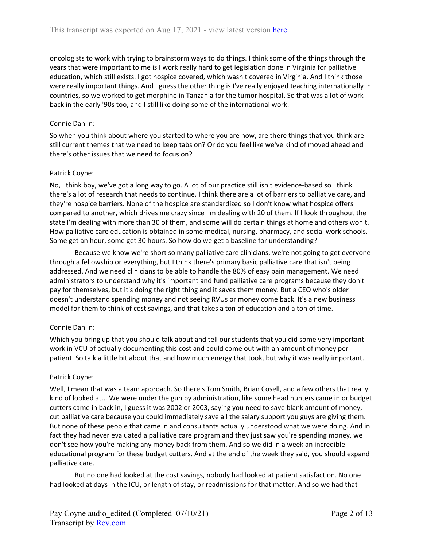oncologists to work with trying to brainstorm ways to do things. I think some of the things through the years that were important to me is I work really hard to get legislation done in Virginia for palliative education, which still exists. I got hospice covered, which wasn't covered in Virginia. And I think those were really important things. And I guess the other thing is I've really enjoyed teaching internationally in countries, so we worked to get morphine in Tanzania for the tumor hospital. So that was a lot of work back in the early '90s too, and I still like doing some of the international work.

## Connie Dahlin:

So when you think about where you started to where you are now, are there things that you think are still current themes that we need to keep tabs on? Or do you feel like we've kind of moved ahead and there's other issues that we need to focus on?

# Patrick Coyne:

No, I think boy, we've got a long way to go. A lot of our practice still isn't evidence-based so I think there's a lot of research that needs to continue. I think there are a lot of barriers to palliative care, and they're hospice barriers. None of the hospice are standardized so I don't know what hospice offers compared to another, which drives me crazy since I'm dealing with 20 of them. If I look throughout the state I'm dealing with more than 30 of them, and some will do certain things at home and others won't. How palliative care education is obtained in some medical, nursing, pharmacy, and social work schools. Some get an hour, some get 30 hours. So how do we get a baseline for understanding?

Because we know we're short so many palliative care clinicians, we're not going to get everyone through a fellowship or everything, but I think there's primary basic palliative care that isn't being addressed. And we need clinicians to be able to handle the 80% of easy pain management. We need administrators to understand why it's important and fund palliative care programs because they don't pay for themselves, but it's doing the right thing and it saves them money. But a CEO who's older doesn't understand spending money and not seeing RVUs or money come back. It's a new business model for them to think of cost savings, and that takes a ton of education and a ton of time.

# Connie Dahlin:

Which you bring up that you should talk about and tell our students that you did some very important work in VCU of actually documenting this cost and could come out with an amount of money per patient. So talk a little bit about that and how much energy that took, but why it was really important.

## Patrick Coyne:

Well, I mean that was a team approach. So there's Tom Smith, Brian Cosell, and a few others that really kind of looked at... We were under the gun by administration, like some head hunters came in or budget cutters came in back in, I guess it was 2002 or 2003, saying you need to save blank amount of money, cut palliative care because you could immediately save all the salary support you guys are giving them. But none of these people that came in and consultants actually understood what we were doing. And in fact they had never evaluated a palliative care program and they just saw you're spending money, we don't see how you're making any money back from them. And so we did in a week an incredible educational program for these budget cutters. And at the end of the week they said, you should expand palliative care.

But no one had looked at the cost savings, nobody had looked at patient satisfaction. No one had looked at days in the ICU, or length of stay, or readmissions for that matter. And so we had that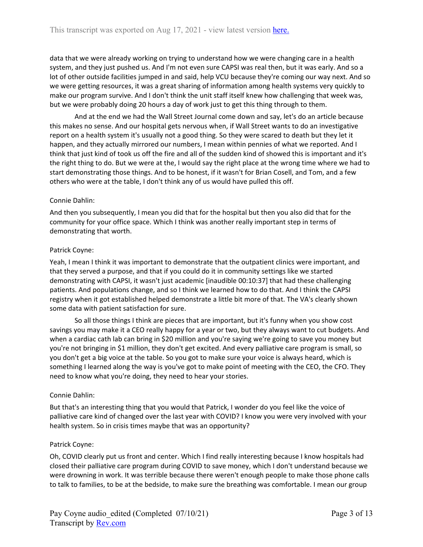data that we were already working on trying to understand how we were changing care in a health system, and they just pushed us. And I'm not even sure CAPSI was real then, but it was early. And so a lot of other outside facilities jumped in and said, help VCU because they're coming our way next. And so we were getting resources, it was a great sharing of information among health systems very quickly to make our program survive. And I don't think the unit staff itself knew how challenging that week was, but we were probably doing 20 hours a day of work just to get this thing through to them.

And at the end we had the Wall Street Journal come down and say, let's do an article because this makes no sense. And our hospital gets nervous when, if Wall Street wants to do an investigative report on a health system it's usually not a good thing. So they were scared to death but they let it happen, and they actually mirrored our numbers, I mean within pennies of what we reported. And I think that just kind of took us off the fire and all of the sudden kind of showed this is important and it's the right thing to do. But we were at the, I would say the right place at the wrong time where we had to start demonstrating those things. And to be honest, if it wasn't for Brian Cosell, and Tom, and a few others who were at the table, I don't think any of us would have pulled this off.

### Connie Dahlin:

And then you subsequently, I mean you did that for the hospital but then you also did that for the community for your office space. Which I think was another really important step in terms of demonstrating that worth.

#### Patrick Coyne:

Yeah, I mean I think it was important to demonstrate that the outpatient clinics were important, and that they served a purpose, and that if you could do it in community settings like we started demonstrating with CAPSI, it wasn't just academic [inaudible 00:10:37] that had these challenging patients. And populations change, and so I think we learned how to do that. And I think the CAPSI registry when it got established helped demonstrate a little bit more of that. The VA's clearly shown some data with patient satisfaction for sure.

So all those things I think are pieces that are important, but it's funny when you show cost savings you may make it a CEO really happy for a year or two, but they always want to cut budgets. And when a cardiac cath lab can bring in \$20 million and you're saying we're going to save you money but you're not bringing in \$1 million, they don't get excited. And every palliative care program is small, so you don't get a big voice at the table. So you got to make sure your voice is always heard, which is something I learned along the way is you've got to make point of meeting with the CEO, the CFO. They need to know what you're doing, they need to hear your stories.

## Connie Dahlin:

But that's an interesting thing that you would that Patrick, I wonder do you feel like the voice of palliative care kind of changed over the last year with COVID? I know you were very involved with your health system. So in crisis times maybe that was an opportunity?

## Patrick Coyne:

Oh, COVID clearly put us front and center. Which I find really interesting because I know hospitals had closed their palliative care program during COVID to save money, which I don't understand because we were drowning in work. It was terrible because there weren't enough people to make those phone calls to talk to families, to be at the bedside, to make sure the breathing was comfortable. I mean our group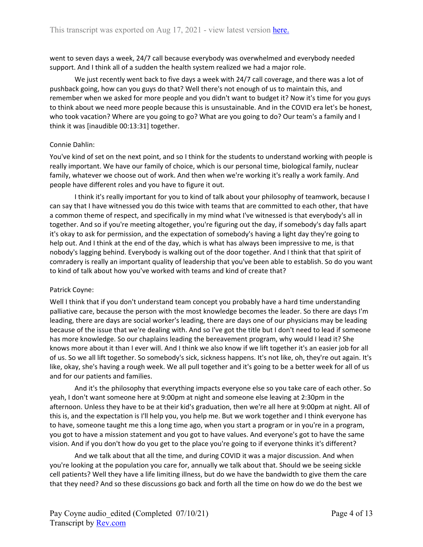went to seven days a week, 24/7 call because everybody was overwhelmed and everybody needed support. And I think all of a sudden the health system realized we had a major role.

We just recently went back to five days a week with 24/7 call coverage, and there was a lot of pushback going, how can you guys do that? Well there's not enough of us to maintain this, and remember when we asked for more people and you didn't want to budget it? Now it's time for you guys to think about we need more people because this is unsustainable. And in the COVID era let's be honest, who took vacation? Where are you going to go? What are you going to do? Our team's a family and I think it was [inaudible 00:13:31] together.

### Connie Dahlin:

You've kind of set on the next point, and so I think for the students to understand working with people is really important. We have our family of choice, which is our personal time, biological family, nuclear family, whatever we choose out of work. And then when we're working it's really a work family. And people have different roles and you have to figure it out.

I think it's really important for you to kind of talk about your philosophy of teamwork, because I can say that I have witnessed you do this twice with teams that are committed to each other, that have a common theme of respect, and specifically in my mind what I've witnessed is that everybody's all in together. And so if you're meeting altogether, you're figuring out the day, if somebody's day falls apart it's okay to ask for permission, and the expectation of somebody's having a light day they're going to help out. And I think at the end of the day, which is what has always been impressive to me, is that nobody's lagging behind. Everybody is walking out of the door together. And I think that that spirit of comradery is really an important quality of leadership that you've been able to establish. So do you want to kind of talk about how you've worked with teams and kind of create that?

## Patrick Coyne:

Well I think that if you don't understand team concept you probably have a hard time understanding palliative care, because the person with the most knowledge becomes the leader. So there are days I'm leading, there are days are social worker's leading, there are days one of our physicians may be leading because of the issue that we're dealing with. And so I've got the title but I don't need to lead if someone has more knowledge. So our chaplains leading the bereavement program, why would I lead it? She knows more about it than I ever will. And I think we also know if we lift together it's an easier job for all of us. So we all lift together. So somebody's sick, sickness happens. It's not like, oh, they're out again. It's like, okay, she's having a rough week. We all pull together and it's going to be a better week for all of us and for our patients and families.

And it's the philosophy that everything impacts everyone else so you take care of each other. So yeah, I don't want someone here at 9:00pm at night and someone else leaving at 2:30pm in the afternoon. Unless they have to be at their kid's graduation, then we're all here at 9:00pm at night. All of this is, and the expectation is I'll help you, you help me. But we work together and I think everyone has to have, someone taught me this a long time ago, when you start a program or in you're in a program, you got to have a mission statement and you got to have values. And everyone's got to have the same vision. And if you don't how do you get to the place you're going to if everyone thinks it's different?

And we talk about that all the time, and during COVID it was a major discussion. And when you're looking at the population you care for, annually we talk about that. Should we be seeing sickle cell patients? Well they have a life limiting illness, but do we have the bandwidth to give them the care that they need? And so these discussions go back and forth all the time on how do we do the best we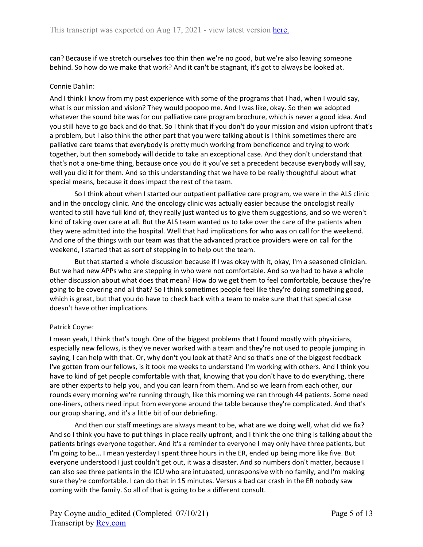can? Because if we stretch ourselves too thin then we're no good, but we're also leaving someone behind. So how do we make that work? And it can't be stagnant, it's got to always be looked at.

#### Connie Dahlin:

And I think I know from my past experience with some of the programs that I had, when I would say, what is our mission and vision? They would poopoo me. And I was like, okay. So then we adopted whatever the sound bite was for our palliative care program brochure, which is never a good idea. And you still have to go back and do that. So I think that if you don't do your mission and vision upfront that's a problem, but I also think the other part that you were talking about is I think sometimes there are palliative care teams that everybody is pretty much working from beneficence and trying to work together, but then somebody will decide to take an exceptional case. And they don't understand that that's not a one-time thing, because once you do it you've set a precedent because everybody will say, well you did it for them. And so this understanding that we have to be really thoughtful about what special means, because it does impact the rest of the team.

So I think about when I started our outpatient palliative care program, we were in the ALS clinic and in the oncology clinic. And the oncology clinic was actually easier because the oncologist really wanted to still have full kind of, they really just wanted us to give them suggestions, and so we weren't kind of taking over care at all. But the ALS team wanted us to take over the care of the patients when they were admitted into the hospital. Well that had implications for who was on call for the weekend. And one of the things with our team was that the advanced practice providers were on call for the weekend, I started that as sort of stepping in to help out the team.

But that started a whole discussion because if I was okay with it, okay, I'm a seasoned clinician. But we had new APPs who are stepping in who were not comfortable. And so we had to have a whole other discussion about what does that mean? How do we get them to feel comfortable, because they're going to be covering and all that? So I think sometimes people feel like they're doing something good, which is great, but that you do have to check back with a team to make sure that that special case doesn't have other implications.

#### Patrick Coyne:

I mean yeah, I think that's tough. One of the biggest problems that I found mostly with physicians, especially new fellows, is they've never worked with a team and they're not used to people jumping in saying, I can help with that. Or, why don't you look at that? And so that's one of the biggest feedback I've gotten from our fellows, is it took me weeks to understand I'm working with others. And I think you have to kind of get people comfortable with that, knowing that you don't have to do everything, there are other experts to help you, and you can learn from them. And so we learn from each other, our rounds every morning we're running through, like this morning we ran through 44 patients. Some need one-liners, others need input from everyone around the table because they're complicated. And that's our group sharing, and it's a little bit of our debriefing.

And then our staff meetings are always meant to be, what are we doing well, what did we fix? And so I think you have to put things in place really upfront, and I think the one thing is talking about the patients brings everyone together. And it's a reminder to everyone I may only have three patients, but I'm going to be... I mean yesterday I spent three hours in the ER, ended up being more like five. But everyone understood I just couldn't get out, it was a disaster. And so numbers don't matter, because I can also see three patients in the ICU who are intubated, unresponsive with no family, and I'm making sure they're comfortable. I can do that in 15 minutes. Versus a bad car crash in the ER nobody saw coming with the family. So all of that is going to be a different consult.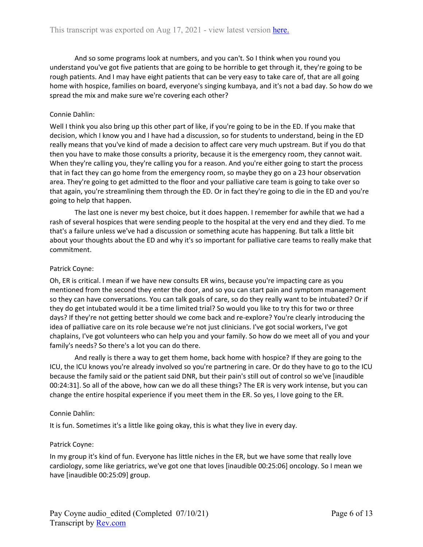And so some programs look at numbers, and you can't. So I think when you round you understand you've got five patients that are going to be horrible to get through it, they're going to be rough patients. And I may have eight patients that can be very easy to take care of, that are all going home with hospice, families on board, everyone's singing kumbaya, and it's not a bad day. So how do we spread the mix and make sure we're covering each other?

#### Connie Dahlin:

Well I think you also bring up this other part of like, if you're going to be in the ED. If you make that decision, which I know you and I have had a discussion, so for students to understand, being in the ED really means that you've kind of made a decision to affect care very much upstream. But if you do that then you have to make those consults a priority, because it is the emergency room, they cannot wait. When they're calling you, they're calling you for a reason. And you're either going to start the process that in fact they can go home from the emergency room, so maybe they go on a 23 hour observation area. They're going to get admitted to the floor and your palliative care team is going to take over so that again, you're streamlining them through the ED. Or in fact they're going to die in the ED and you're going to help that happen.

The last one is never my best choice, but it does happen. I remember for awhile that we had a rash of several hospices that were sending people to the hospital at the very end and they died. To me that's a failure unless we've had a discussion or something acute has happening. But talk a little bit about your thoughts about the ED and why it's so important for palliative care teams to really make that commitment.

### Patrick Coyne:

Oh, ER is critical. I mean if we have new consults ER wins, because you're impacting care as you mentioned from the second they enter the door, and so you can start pain and symptom management so they can have conversations. You can talk goals of care, so do they really want to be intubated? Or if they do get intubated would it be a time limited trial? So would you like to try this for two or three days? If they're not getting better should we come back and re-explore? You're clearly introducing the idea of palliative care on its role because we're not just clinicians. I've got social workers, I've got chaplains, I've got volunteers who can help you and your family. So how do we meet all of you and your family's needs? So there's a lot you can do there.

And really is there a way to get them home, back home with hospice? If they are going to the ICU, the ICU knows you're already involved so you're partnering in care. Or do they have to go to the ICU because the family said or the patient said DNR, but their pain's still out of control so we've [inaudible 00:24:31]. So all of the above, how can we do all these things? The ER is very work intense, but you can change the entire hospital experience if you meet them in the ER. So yes, I love going to the ER.

#### Connie Dahlin:

It is fun. Sometimes it's a little like going okay, this is what they live in every day.

#### Patrick Coyne:

In my group it's kind of fun. Everyone has little niches in the ER, but we have some that really love cardiology, some like geriatrics, we've got one that loves [inaudible 00:25:06] oncology. So I mean we have [inaudible 00:25:09] group.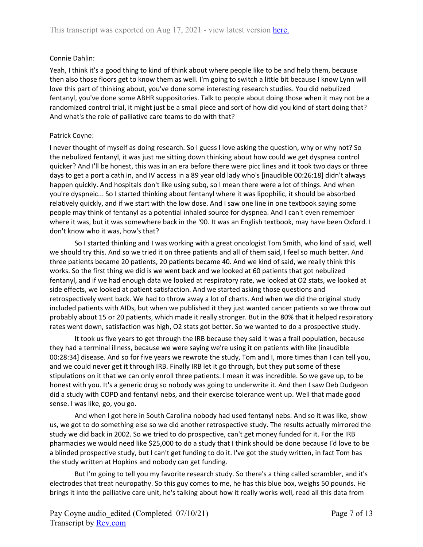## Connie Dahlin:

Yeah, I think it's a good thing to kind of think about where people like to be and help them, because then also those floors get to know them as well. I'm going to switch a little bit because I know Lynn will love this part of thinking about, you've done some interesting research studies. You did nebulized fentanyl, you've done some ABHR suppositories. Talk to people about doing those when it may not be a randomized control trial, it might just be a small piece and sort of how did you kind of start doing that? And what's the role of palliative care teams to do with that?

#### Patrick Coyne:

I never thought of myself as doing research. So I guess I love asking the question, why or why not? So the nebulized fentanyl, it was just me sitting down thinking about how could we get dyspnea control quicker? And I'll be honest, this was in an era before there were picc lines and it took two days or three days to get a port a cath in, and IV access in a 89 year old lady who's [inaudible 00:26:18] didn't always happen quickly. And hospitals don't like using subq, so I mean there were a lot of things. And when you're dyspneic... So I started thinking about fentanyl where it was lipophilic, it should be absorbed relatively quickly, and if we start with the low dose. And I saw one line in one textbook saying some people may think of fentanyl as a potential inhaled source for dyspnea. And I can't even remember where it was, but it was somewhere back in the '90. It was an English textbook, may have been Oxford. I don't know who it was, how's that?

So I started thinking and I was working with a great oncologist Tom Smith, who kind of said, well we should try this. And so we tried it on three patients and all of them said, I feel so much better. And three patients became 20 patients, 20 patients became 40. And we kind of said, we really think this works. So the first thing we did is we went back and we looked at 60 patients that got nebulized fentanyl, and if we had enough data we looked at respiratory rate, we looked at O2 stats, we looked at side effects, we looked at patient satisfaction. And we started asking those questions and retrospectively went back. We had to throw away a lot of charts. And when we did the original study included patients with AIDs, but when we published it they just wanted cancer patients so we throw out probably about 15 or 20 patients, which made it really stronger. But in the 80% that it helped respiratory rates went down, satisfaction was high, O2 stats got better. So we wanted to do a prospective study.

It took us five years to get through the IRB because they said it was a frail population, because they had a terminal illness, because we were saying we're using it on patients with like [inaudible 00:28:34] disease. And so for five years we rewrote the study, Tom and I, more times than I can tell you, and we could never get it through IRB. Finally IRB let it go through, but they put some of these stipulations on it that we can only enroll three patients. I mean it was incredible. So we gave up, to be honest with you. It's a generic drug so nobody was going to underwrite it. And then I saw Deb Dudgeon did a study with COPD and fentanyl nebs, and their exercise tolerance went up. Well that made good sense. I was like, go, you go.

And when I got here in South Carolina nobody had used fentanyl nebs. And so it was like, show us, we got to do something else so we did another retrospective study. The results actually mirrored the study we did back in 2002. So we tried to do prospective, can't get money funded for it. For the IRB pharmacies we would need like \$25,000 to do a study that I think should be done because I'd love to be a blinded prospective study, but I can't get funding to do it. I've got the study written, in fact Tom has the study written at Hopkins and nobody can get funding.

But I'm going to tell you my favorite research study. So there's a thing called scrambler, and it's electrodes that treat neuropathy. So this guy comes to me, he has this blue box, weighs 50 pounds. He brings it into the palliative care unit, he's talking about how it really works well, read all this data from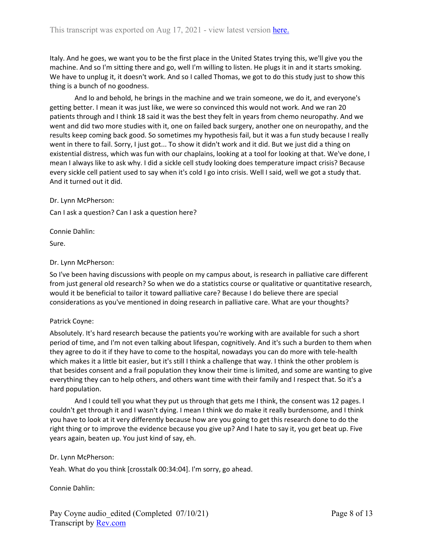Italy. And he goes, we want you to be the first place in the United States trying this, we'll give you the machine. And so I'm sitting there and go, well I'm willing to listen. He plugs it in and it starts smoking. We have to unplug it, it doesn't work. And so I called Thomas, we got to do this study just to show this thing is a bunch of no goodness.

And lo and behold, he brings in the machine and we train someone, we do it, and everyone's getting better. I mean it was just like, we were so convinced this would not work. And we ran 20 patients through and I think 18 said it was the best they felt in years from chemo neuropathy. And we went and did two more studies with it, one on failed back surgery, another one on neuropathy, and the results keep coming back good. So sometimes my hypothesis fail, but it was a fun study because I really went in there to fail. Sorry, I just got... To show it didn't work and it did. But we just did a thing on existential distress, which was fun with our chaplains, looking at a tool for looking at that. We've done, I mean I always like to ask why. I did a sickle cell study looking does temperature impact crisis? Because every sickle cell patient used to say when it's cold I go into crisis. Well I said, well we got a study that. And it turned out it did.

Dr. Lynn McPherson:

Can I ask a question? Can I ask a question here?

Connie Dahlin:

Sure.

#### Dr. Lynn McPherson:

So I've been having discussions with people on my campus about, is research in palliative care different from just general old research? So when we do a statistics course or qualitative or quantitative research, would it be beneficial to tailor it toward palliative care? Because I do believe there are special considerations as you've mentioned in doing research in palliative care. What are your thoughts?

#### Patrick Coyne:

Absolutely. It's hard research because the patients you're working with are available for such a short period of time, and I'm not even talking about lifespan, cognitively. And it's such a burden to them when they agree to do it if they have to come to the hospital, nowadays you can do more with tele-health which makes it a little bit easier, but it's still I think a challenge that way. I think the other problem is that besides consent and a frail population they know their time is limited, and some are wanting to give everything they can to help others, and others want time with their family and I respect that. So it's a hard population.

And I could tell you what they put us through that gets me I think, the consent was 12 pages. I couldn't get through it and I wasn't dying. I mean I think we do make it really burdensome, and I think you have to look at it very differently because how are you going to get this research done to do the right thing or to improve the evidence because you give up? And I hate to say it, you get beat up. Five years again, beaten up. You just kind of say, eh.

#### Dr. Lynn McPherson:

Yeah. What do you think [crosstalk 00:34:04]. I'm sorry, go ahead.

Connie Dahlin: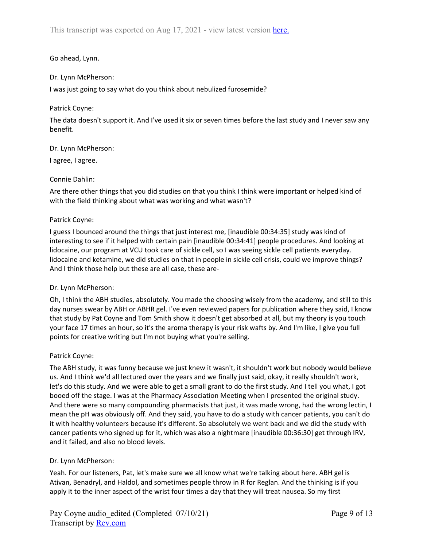## Go ahead, Lynn.

## Dr. Lynn McPherson:

I was just going to say what do you think about nebulized furosemide?

## Patrick Coyne:

The data doesn't support it. And I've used it six or seven times before the last study and I never saw any benefit.

Dr. Lynn McPherson:

I agree, I agree.

### Connie Dahlin:

Are there other things that you did studies on that you think I think were important or helped kind of with the field thinking about what was working and what wasn't?

### Patrick Coyne:

I guess I bounced around the things that just interest me, [inaudible 00:34:35] study was kind of interesting to see if it helped with certain pain [inaudible 00:34:41] people procedures. And looking at lidocaine, our program at VCU took care of sickle cell, so I was seeing sickle cell patients everyday. lidocaine and ketamine, we did studies on that in people in sickle cell crisis, could we improve things? And I think those help but these are all case, these are-

#### Dr. Lynn McPherson:

Oh, I think the ABH studies, absolutely. You made the choosing wisely from the academy, and still to this day nurses swear by ABH or ABHR gel. I've even reviewed papers for publication where they said, I know that study by Pat Coyne and Tom Smith show it doesn't get absorbed at all, but my theory is you touch your face 17 times an hour, so it's the aroma therapy is your risk wafts by. And I'm like, I give you full points for creative writing but I'm not buying what you're selling.

#### Patrick Coyne:

The ABH study, it was funny because we just knew it wasn't, it shouldn't work but nobody would believe us. And I think we'd all lectured over the years and we finally just said, okay, it really shouldn't work, let's do this study. And we were able to get a small grant to do the first study. And I tell you what, I got booed off the stage. I was at the Pharmacy Association Meeting when I presented the original study. And there were so many compounding pharmacists that just, it was made wrong, had the wrong lectin, I mean the pH was obviously off. And they said, you have to do a study with cancer patients, you can't do it with healthy volunteers because it's different. So absolutely we went back and we did the study with cancer patients who signed up for it, which was also a nightmare [inaudible 00:36:30] get through IRV, and it failed, and also no blood levels.

## Dr. Lynn McPherson:

Yeah. For our listeners, Pat, let's make sure we all know what we're talking about here. ABH gel is Ativan, Benadryl, and Haldol, and sometimes people throw in R for Reglan. And the thinking is if you apply it to the inner aspect of the wrist four times a day that they will treat nausea. So my first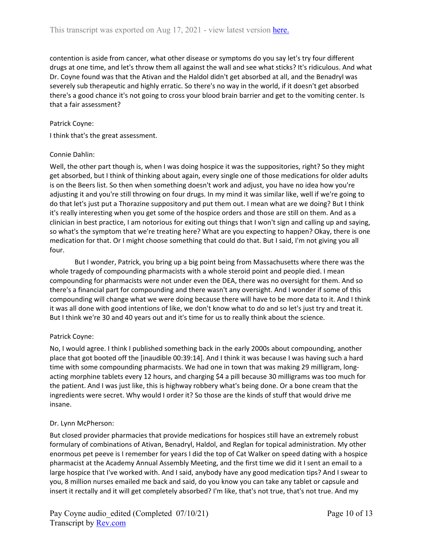contention is aside from cancer, what other disease or symptoms do you say let's try four different drugs at one time, and let's throw them all against the wall and see what sticks? It's ridiculous. And what Dr. Coyne found was that the Ativan and the Haldol didn't get absorbed at all, and the Benadryl was severely sub therapeutic and highly erratic. So there's no way in the world, if it doesn't get absorbed there's a good chance it's not going to cross your blood brain barrier and get to the vomiting center. Is that a fair assessment?

#### Patrick Coyne:

I think that's the great assessment.

#### Connie Dahlin:

Well, the other part though is, when I was doing hospice it was the suppositories, right? So they might get absorbed, but I think of thinking about again, every single one of those medications for older adults is on the Beers list. So then when something doesn't work and adjust, you have no idea how you're adjusting it and you're still throwing on four drugs. In my mind it was similar like, well if we're going to do that let's just put a Thorazine suppository and put them out. I mean what are we doing? But I think it's really interesting when you get some of the hospice orders and those are still on them. And as a clinician in best practice, I am notorious for exiting out things that I won't sign and calling up and saying, so what's the symptom that we're treating here? What are you expecting to happen? Okay, there is one medication for that. Or I might choose something that could do that. But I said, I'm not giving you all four.

But I wonder, Patrick, you bring up a big point being from Massachusetts where there was the whole tragedy of compounding pharmacists with a whole steroid point and people died. I mean compounding for pharmacists were not under even the DEA, there was no oversight for them. And so there's a financial part for compounding and there wasn't any oversight. And I wonder if some of this compounding will change what we were doing because there will have to be more data to it. And I think it was all done with good intentions of like, we don't know what to do and so let's just try and treat it. But I think we're 30 and 40 years out and it's time for us to really think about the science.

#### Patrick Coyne:

No, I would agree. I think I published something back in the early 2000s about compounding, another place that got booted off the [inaudible 00:39:14]. And I think it was because I was having such a hard time with some compounding pharmacists. We had one in town that was making 29 milligram, longacting morphine tablets every 12 hours, and charging \$4 a pill because 30 milligrams was too much for the patient. And I was just like, this is highway robbery what's being done. Or a bone cream that the ingredients were secret. Why would I order it? So those are the kinds of stuff that would drive me insane.

#### Dr. Lynn McPherson:

But closed provider pharmacies that provide medications for hospices still have an extremely robust formulary of combinations of Ativan, Benadryl, Haldol, and Reglan for topical administration. My other enormous pet peeve is I remember for years I did the top of Cat Walker on speed dating with a hospice pharmacist at the Academy Annual Assembly Meeting, and the first time we did it I sent an email to a large hospice that I've worked with. And I said, anybody have any good medication tips? And I swear to you, 8 million nurses emailed me back and said, do you know you can take any tablet or capsule and insert it rectally and it will get completely absorbed? I'm like, that's not true, that's not true. And my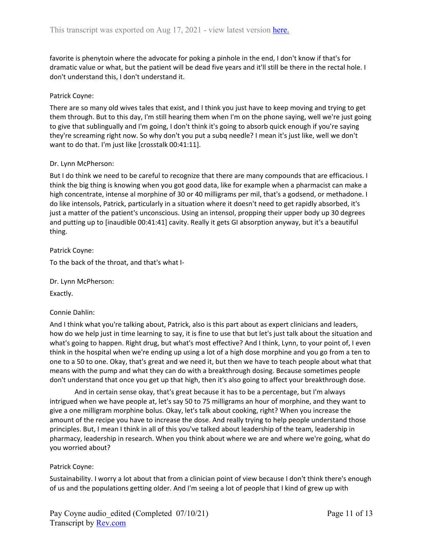favorite is phenytoin where the advocate for poking a pinhole in the end, I don't know if that's for dramatic value or what, but the patient will be dead five years and it'll still be there in the rectal hole. I don't understand this, I don't understand it.

## Patrick Coyne:

There are so many old wives tales that exist, and I think you just have to keep moving and trying to get them through. But to this day, I'm still hearing them when I'm on the phone saying, well we're just going to give that sublingually and I'm going, I don't think it's going to absorb quick enough if you're saying they're screaming right now. So why don't you put a subq needle? I mean it's just like, well we don't want to do that. I'm just like [crosstalk 00:41:11].

### Dr. Lynn McPherson:

But I do think we need to be careful to recognize that there are many compounds that are efficacious. I think the big thing is knowing when you got good data, like for example when a pharmacist can make a high concentrate, intense al morphine of 30 or 40 milligrams per mil, that's a godsend, or methadone. I do like intensols, Patrick, particularly in a situation where it doesn't need to get rapidly absorbed, it's just a matter of the patient's unconscious. Using an intensol, propping their upper body up 30 degrees and putting up to [inaudible 00:41:41] cavity. Really it gets GI absorption anyway, but it's a beautiful thing.

#### Patrick Coyne:

To the back of the throat, and that's what I-

Dr. Lynn McPherson:

Exactly.

#### Connie Dahlin:

And I think what you're talking about, Patrick, also is this part about as expert clinicians and leaders, how do we help just in time learning to say, it is fine to use that but let's just talk about the situation and what's going to happen. Right drug, but what's most effective? And I think, Lynn, to your point of, I even think in the hospital when we're ending up using a lot of a high dose morphine and you go from a ten to one to a 50 to one. Okay, that's great and we need it, but then we have to teach people about what that means with the pump and what they can do with a breakthrough dosing. Because sometimes people don't understand that once you get up that high, then it's also going to affect your breakthrough dose.

And in certain sense okay, that's great because it has to be a percentage, but I'm always intrigued when we have people at, let's say 50 to 75 milligrams an hour of morphine, and they want to give a one milligram morphine bolus. Okay, let's talk about cooking, right? When you increase the amount of the recipe you have to increase the dose. And really trying to help people understand those principles. But, I mean I think in all of this you've talked about leadership of the team, leadership in pharmacy, leadership in research. When you think about where we are and where we're going, what do you worried about?

#### Patrick Coyne:

Sustainability. I worry a lot about that from a clinician point of view because I don't think there's enough of us and the populations getting older. And I'm seeing a lot of people that I kind of grew up with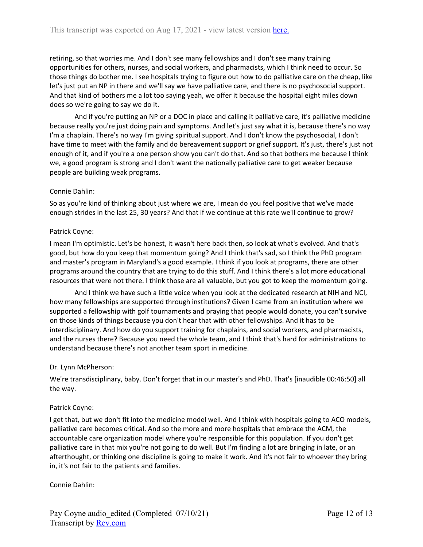retiring, so that worries me. And I don't see many fellowships and I don't see many training opportunities for others, nurses, and social workers, and pharmacists, which I think need to occur. So those things do bother me. I see hospitals trying to figure out how to do palliative care on the cheap, like let's just put an NP in there and we'll say we have palliative care, and there is no psychosocial support. And that kind of bothers me a lot too saying yeah, we offer it because the hospital eight miles down does so we're going to say we do it.

And if you're putting an NP or a DOC in place and calling it palliative care, it's palliative medicine because really you're just doing pain and symptoms. And let's just say what it is, because there's no way I'm a chaplain. There's no way I'm giving spiritual support. And I don't know the psychosocial, I don't have time to meet with the family and do bereavement support or grief support. It's just, there's just not enough of it, and if you're a one person show you can't do that. And so that bothers me because I think we, a good program is strong and I don't want the nationally palliative care to get weaker because people are building weak programs.

### Connie Dahlin:

So as you're kind of thinking about just where we are, I mean do you feel positive that we've made enough strides in the last 25, 30 years? And that if we continue at this rate we'll continue to grow?

### Patrick Coyne:

I mean I'm optimistic. Let's be honest, it wasn't here back then, so look at what's evolved. And that's good, but how do you keep that momentum going? And I think that's sad, so I think the PhD program and master's program in Maryland's a good example. I think if you look at programs, there are other programs around the country that are trying to do this stuff. And I think there's a lot more educational resources that were not there. I think those are all valuable, but you got to keep the momentum going.

And I think we have such a little voice when you look at the dedicated research at NIH and NCI, how many fellowships are supported through institutions? Given I came from an institution where we supported a fellowship with golf tournaments and praying that people would donate, you can't survive on those kinds of things because you don't hear that with other fellowships. And it has to be interdisciplinary. And how do you support training for chaplains, and social workers, and pharmacists, and the nurses there? Because you need the whole team, and I think that's hard for administrations to understand because there's not another team sport in medicine.

#### Dr. Lynn McPherson:

We're transdisciplinary, baby. Don't forget that in our master's and PhD. That's [inaudible 00:46:50] all the way.

#### Patrick Coyne:

I get that, but we don't fit into the medicine model well. And I think with hospitals going to ACO models, palliative care becomes critical. And so the more and more hospitals that embrace the ACM, the accountable care organization model where you're responsible for this population. If you don't get palliative care in that mix you're not going to do well. But I'm finding a lot are bringing in late, or an afterthought, or thinking one discipline is going to make it work. And it's not fair to whoever they bring in, it's not fair to the patients and families.

Connie Dahlin: